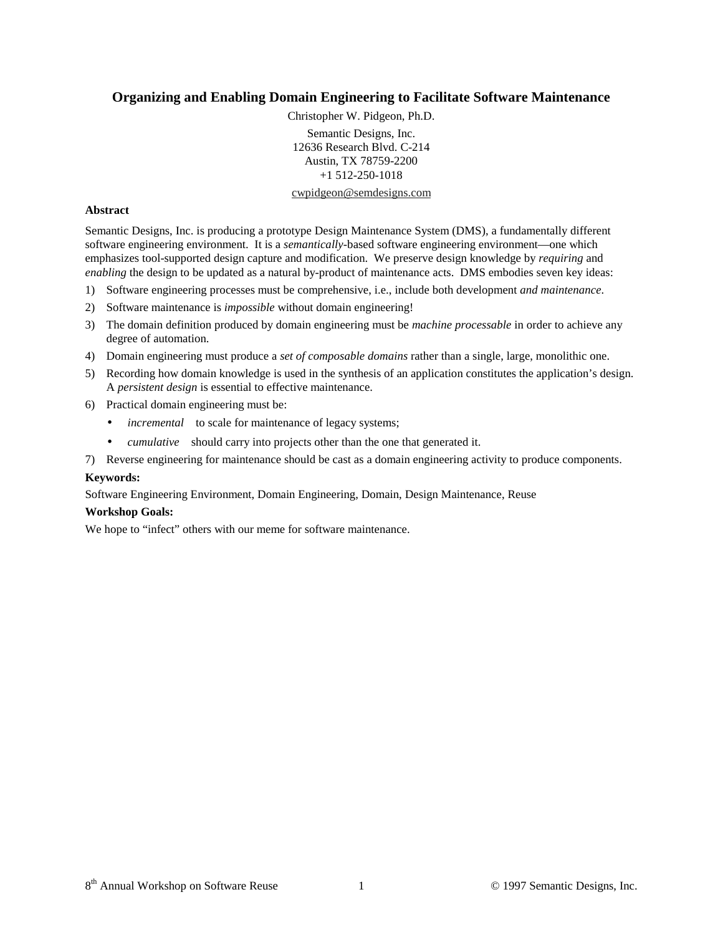# **Organizing and Enabling Domain Engineering to Facilitate Software Maintenance**

Christopher W. Pidgeon, Ph.D.

Semantic Designs, Inc. 12636 Research Blvd. C-214 Austin, TX 78759-2200 +1 512-250-1018

#### cwpidgeon@semdesigns.com

### **Abstract**

Semantic Designs, Inc. is producing a prototype Design Maintenance System (DMS), a fundamentally different software engineering environment. It is a *semantically-*based software engineering environment—one which emphasizes tool-supported design capture and modification. We preserve design knowledge by *requiring* and *enabling* the design to be updated as a natural by-product of maintenance acts. DMS embodies seven key ideas:

- 1) Software engineering processes must be comprehensive, i.e., include both development *and maintenance*.
- 2) Software maintenance is *impossible* without domain engineering!
- 3) The domain definition produced by domain engineering must be *machine processable* in order to achieve any degree of automation.
- 4) Domain engineering must produce a *set of composable domains* rather than a single, large, monolithic one.
- 5) Recording how domain knowledge is used in the synthesis of an application constitutes the application's design. A *persistent design* is essential to effective maintenance.
- 6) Practical domain engineering must be:
	- *incremental*—to scale for maintenance of legacy systems;
	- *cumulative*—should carry into projects other than the one that generated it.
- 7) Reverse engineering for maintenance should be cast as a domain engineering activity to produce components.

## **Keywords:**

Software Engineering Environment, Domain Engineering, Domain, Design Maintenance, Reuse

#### **Workshop Goals:**

We hope to "infect" others with our meme for software maintenance.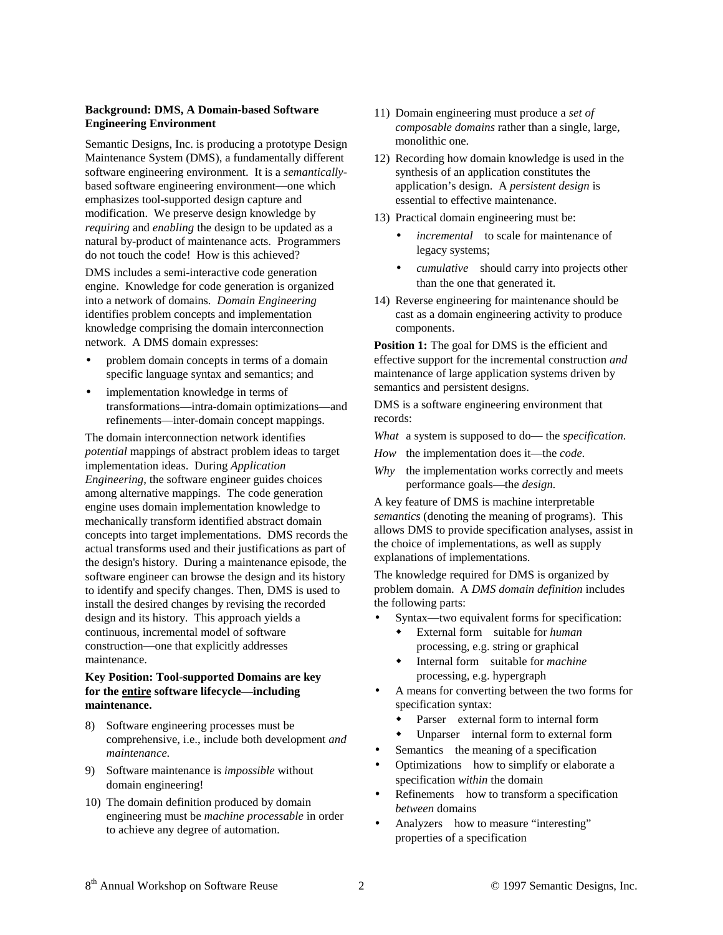## **Background: DMS, A Domain-based Software Engineering Environment**

Semantic Designs, Inc. is producing a prototype Design Maintenance System (DMS), a fundamentally different software engineering environment. It is a *semantically*based software engineering environment—one which emphasizes tool-supported design capture and modification. We preserve design knowledge by *requiring* and *enabling* the design to be updated as a natural by-product of maintenance acts. Programmers do not touch the code! How is this achieved?

DMS includes a semi-interactive code generation engine. Knowledge for code generation is organized into a network of domains. *Domain Engineering* identifies problem concepts and implementation knowledge comprising the domain interconnection network. A DMS domain expresses:

- problem domain concepts in terms of a domain specific language syntax and semantics; and
- implementation knowledge in terms of transformations—intra-domain optimizations—and refinements—inter-domain concept mappings.

The domain interconnection network identifies *potential* mappings of abstract problem ideas to target implementation ideas. During *Application Engineering*, the software engineer guides choices among alternative mappings. The code generation engine uses domain implementation knowledge to mechanically transform identified abstract domain concepts into target implementations. DMS records the actual transforms used and their justifications as part of the design's history. During a maintenance episode, the software engineer can browse the design and its history to identify and specify changes. Then, DMS is used to install the desired changes by revising the recorded design and its history. This approach yields a continuous, incremental model of software construction—one that explicitly addresses maintenance.

#### **Key Position: Tool-supported Domains are key for the entire software lifecycle—including maintenance.**

- 8) Software engineering processes must be comprehensive, i.e., include both development *and maintenance*.
- 9) Software maintenance is *impossible* without domain engineering!
- 10) The domain definition produced by domain engineering must be *machine processable* in order to achieve any degree of automation.
- 11) Domain engineering must produce a *set of composable domains* rather than a single, large, monolithic one.
- 12) Recording how domain knowledge is used in the synthesis of an application constitutes the application's design. A *persistent design* is essential to effective maintenance.
- 13) Practical domain engineering must be:
	- incremental-to scale for maintenance of legacy systems;
	- *cumulative*—should carry into projects other than the one that generated it.
- 14) Reverse engineering for maintenance should be cast as a domain engineering activity to produce components.

**Position 1:** The goal for DMS is the efficient and effective support for the incremental construction *and* maintenance of large application systems driven by semantics and persistent designs.

DMS is a software engineering environment that records:

*What* a system is supposed to do— the *specification.*

- *How* the implementation does it—the *code.*
- *Why* the implementation works correctly and meets performance goals—the *design.*

A key feature of DMS is machine interpretable *semantics* (denoting the meaning of programs). This allows DMS to provide specification analyses, assist in the choice of implementations, as well as supply explanations of implementations.

The knowledge required for DMS is organized by problem domain. A *DMS domain definition* includes the following parts:

- Syntax—two equivalent forms for specification:
	- External form-suitable for *human* processing, e.g. string or graphical
	- Internal form-suitable for *machine* processing, e.g. hypergraph
- A means for converting between the two forms for specification syntax:
	- Parser—external form to internal form
	- Unparser—internal form to external form
- Semantics—the meaning of a specification
- Optimizations-how to simplify or elaborate a specification *within* the domain
- Refinements—how to transform a specification *between* domains
- Analyzers—how to measure "interesting" properties of a specification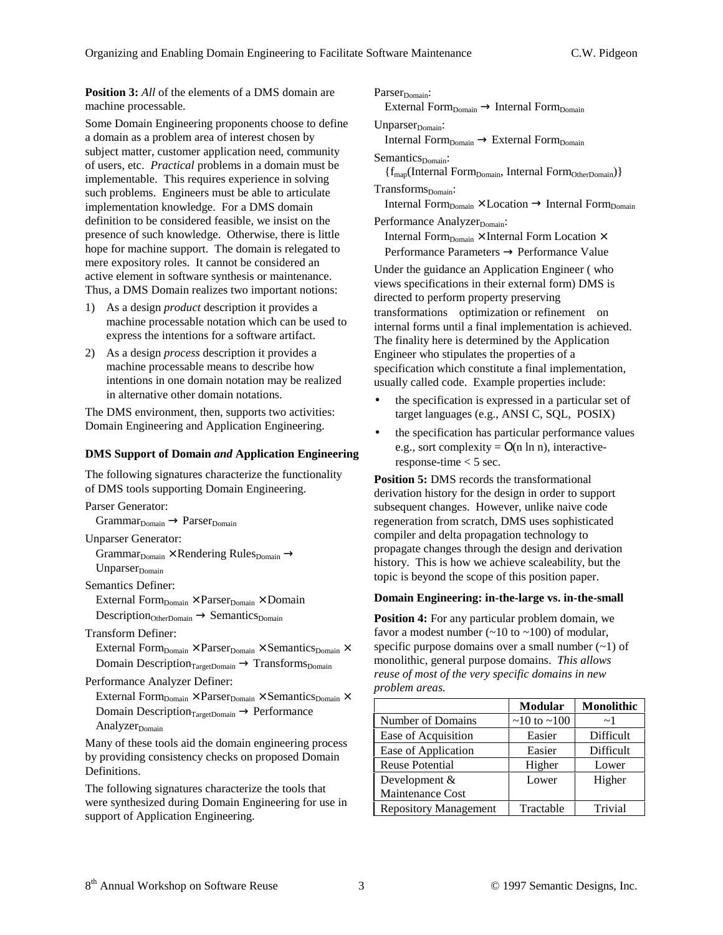**Position 3:** All of the elements of a DMS domain are machine processable.

Some Domain Engineering proponents choose to define a domain as a problem area of interest chosen by subject matter, customer application need, community of users, etc. *Practical* problems in a domain must be implementable. This requires experience in solving such problems. Engineers must be able to articulate implementation knowledge. For a DMS domain definition to be considered feasible, we insist on the presence of such knowledge. Otherwise, there is little hope for machine support. The domain is relegated to mere expository roles. It cannot be considered an active element in software synthesis or maintenance. Thus, a DMS Domain realizes two important notions:

- 1) As a design *product* description it provides a machine processable notation which can be used to express the intentions for a software artifact.
- 2) As a design *process* description it provides a machine processable means to describe how intentions in one domain notation may be realized in alternative other domain notations.

The DMS environment, then, supports two activities: Domain Engineering and Application Engineering.

#### **DMS Support of Domain** *and* **Application Engineering**

The following signatures characterize the functionality of DMS tools supporting Domain Engineering.

Parser Generator:

 $Grammar<sub>Domain</sub> \rightarrow Parse<sub>Domain</sub>$ 

Unparser Generator:

Grammar $_{\text{Domain}} \times \text{Rendering Rules}_{\text{Domain}} \rightarrow$  $Unparser<sub>Domain</sub>$ 

Semantics Definer:

External Form $_{Domain} \times$  Parser $_{Domain} \times$  Domain  $Description<sub>OtherDomain</sub> \rightarrow Semantics<sub>Domain</sub>$ 

Transform Definer:

External Form $_{Domain} \times$  Parser $_{Domain} \times$  Semantics $_{Domain} \times$ Domain Description $_{TargetDomain} \rightarrow Transforms_{Domain}$ 

Performance Analyzer Definer:

External Form $_{Domain} \times$  Parser $_{Domain} \times$  Semantics $_{Domain} \times$ Domain Description $_{TargetDomain} \rightarrow$  Performance Analyzer $_{\text{Domain}}$ 

Many of these tools aid the domain engineering process by providing consistency checks on proposed Domain Definitions.

The following signatures characterize the tools that were synthesized during Domain Engineering for use in support of Application Engineering.

Parser<sub>Domain</sub>: External Form $_{Domain} \rightarrow$  Internal Form $_{Domain}$  $Unparser<sub>Domain</sub>:$ Internal Form $_{\text{Domain}} \rightarrow$  External Form $_{\text{Domain}}$ Semantics<sub>Domain</sub>:  ${f_{map}}(Internal Form<sub>Domain</sub>, Internal Form<sub>Often</sub>)$  $Transforms_{Domain}:$ Internal Form $_{Domain} \times$  Location  $\rightarrow$  Internal Form $_{Domain}$ Performance Analyzer<sub>Domain</sub>: Internal Form $_{\text{Domain}} \times$  Internal Form Location  $\times$ Performance Parameters → Performance Value

Under the guidance an Application Engineer ( who views specifications in their external form) DMS is directed to perform property preserving transformations-optimization or refinement-on internal forms until a final implementation is achieved. The finality here is determined by the Application Engineer who stipulates the properties of a specification which constitute a final implementation, usually called code. Example properties include:

- the specification is expressed in a particular set of target languages (e.g., ANSI C, SQL, POSIX)
- the specification has particular performance values e.g., sort complexity =  $O(n \ln n)$ , interactiveresponse-time < 5 sec.

**Position 5:** DMS records the transformational derivation history for the design in order to support subsequent changes. However, unlike naive code regeneration from scratch, DMS uses sophisticated compiler and delta propagation technology to propagate changes through the design and derivation history. This is how we achieve scaleability, but the topic is beyond the scope of this position paper.

#### **Domain Engineering: in-the-large vs. in-the-small**

**Position 4:** For any particular problem domain, we favor a modest number  $(-10 \text{ to } -100)$  of modular, specific purpose domains over a small number  $(-1)$  of monolithic, general purpose domains. *This allows reuse of most of the very specific domains in new problem areas.*

|                              | <b>Modular</b>          | <b>Monolithic</b> |
|------------------------------|-------------------------|-------------------|
| Number of Domains            | $\sim$ 10 to $\sim$ 100 | $\sim$ 1          |
| Ease of Acquisition          | Easier                  | Difficult         |
| Ease of Application          | Easier                  | Difficult         |
| <b>Reuse Potential</b>       | Higher                  | Lower             |
| Development $&$              | Lower                   | Higher            |
| <b>Maintenance Cost</b>      |                         |                   |
| <b>Repository Management</b> | Tractable               | Trivial           |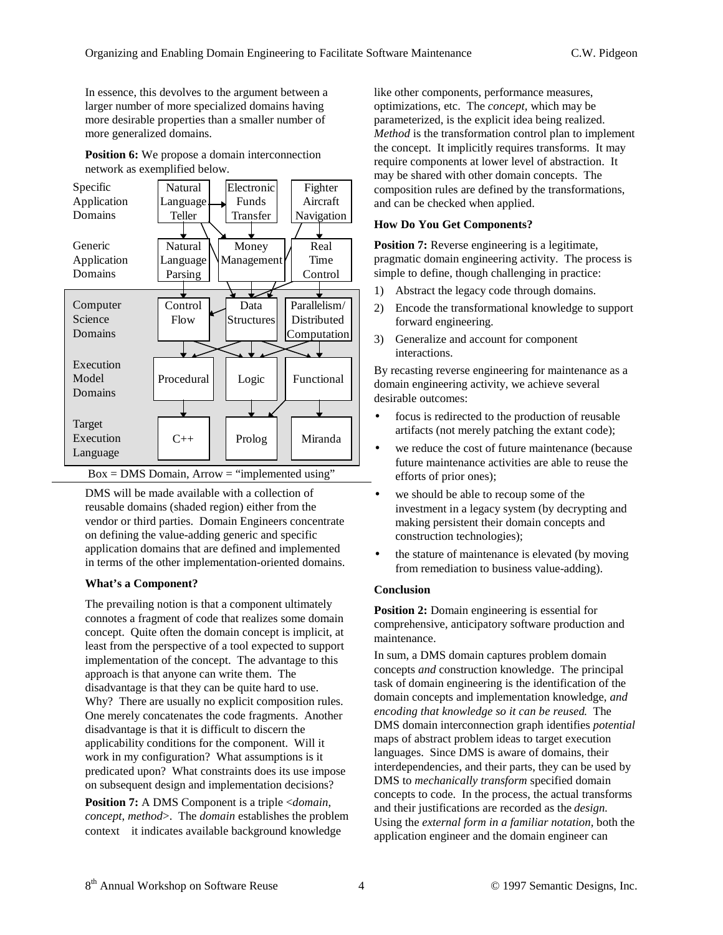In essence, this devolves to the argument between a larger number of more specialized domains having more desirable properties than a smaller number of more generalized domains.

**Position 6:** We propose a domain interconnection network as exemplified below.



 $Box = DMS$  Domain,  $Arrow = "implemented using"$ 

DMS will be made available with a collection of reusable domains (shaded region) either from the vendor or third parties. Domain Engineers concentrate on defining the value-adding generic and specific application domains that are defined and implemented in terms of the other implementation-oriented domains.

## **What's a Component?**

The prevailing notion is that a component ultimately connotes a fragment of code that realizes some domain concept. Quite often the domain concept is implicit, at least from the perspective of a tool expected to support implementation of the concept. The advantage to this approach is that anyone can write them. The disadvantage is that they can be quite hard to use. Why? There are usually no explicit composition rules. One merely concatenates the code fragments. Another disadvantage is that it is difficult to discern the applicability conditions for the component. Will it work in my configuration? What assumptions is it predicated upon? What constraints does its use impose on subsequent design and implementation decisions?

**Position 7:** A DMS Component is a triple <*domain*, *concept*, *method*>. The *domain* establishes the problem context-it indicates available background knowledge

like other components, performance measures, optimizations, etc. The *concept,* which may be parameterized, is the explicit idea being realized. *Method* is the transformation control plan to implement the concept. It implicitly requires transforms. It may require components at lower level of abstraction. It may be shared with other domain concepts. The composition rules are defined by the transformations, and can be checked when applied.

## **How Do You Get Components?**

**Position 7:** Reverse engineering is a legitimate, pragmatic domain engineering activity. The process is simple to define, though challenging in practice:

- 1) Abstract the legacy code through domains.
- 2) Encode the transformational knowledge to support forward engineering.
- 3) Generalize and account for component interactions.

By recasting reverse engineering for maintenance as a domain engineering activity, we achieve several desirable outcomes:

- focus is redirected to the production of reusable artifacts (not merely patching the extant code);
- we reduce the cost of future maintenance (because future maintenance activities are able to reuse the efforts of prior ones);
- we should be able to recoup some of the investment in a legacy system (by decrypting and making persistent their domain concepts and construction technologies);
- the stature of maintenance is elevated (by moving from remediation to business value-adding).

## **Conclusion**

**Position 2:** Domain engineering is essential for comprehensive, anticipatory software production and maintenance.

In sum, a DMS domain captures problem domain concepts *and* construction knowledge. The principal task of domain engineering is the identification of the domain concepts and implementation knowledge, *and encoding that knowledge so it can be reused*. The DMS domain interconnection graph identifies *potential* maps of abstract problem ideas to target execution languages. Since DMS is aware of domains, their interdependencies, and their parts, they can be used by DMS to *mechanically transform* specified domain concepts to code. In the process, the actual transforms and their justifications are recorded as the *design.* Using the *external form in a familiar notation,* both the application engineer and the domain engineer can